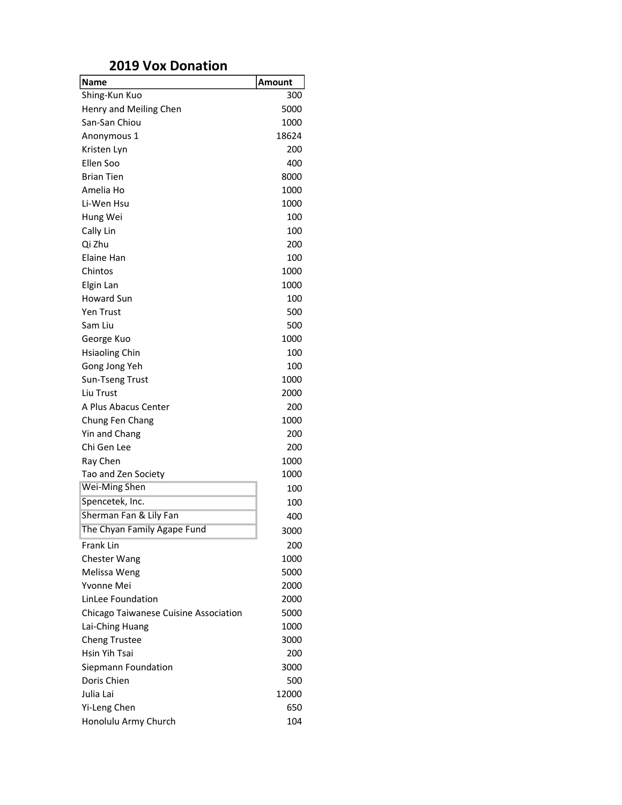## 2019 Vox Donation

| <b>Name</b>                           | Amount |
|---------------------------------------|--------|
| Shing-Kun Kuo                         | 300    |
| Henry and Meiling Chen                | 5000   |
| San-San Chiou                         | 1000   |
| Anonymous 1                           | 18624  |
| Kristen Lyn                           | 200    |
| Ellen Soo                             | 400    |
| <b>Brian Tien</b>                     | 8000   |
| Amelia Ho                             | 1000   |
| Li-Wen Hsu                            | 1000   |
| Hung Wei                              | 100    |
| Cally Lin                             | 100    |
| Qi Zhu                                | 200    |
| Elaine Han                            | 100    |
| Chintos                               | 1000   |
| Elgin Lan                             | 1000   |
| <b>Howard Sun</b>                     | 100    |
| Yen Trust                             | 500    |
| Sam Liu                               | 500    |
| George Kuo                            | 1000   |
| <b>Hsiaoling Chin</b>                 | 100    |
| Gong Jong Yeh                         | 100    |
| Sun-Tseng Trust                       | 1000   |
| Liu Trust                             | 2000   |
| A Plus Abacus Center                  | 200    |
| Chung Fen Chang                       | 1000   |
| Yin and Chang                         | 200    |
| Chi Gen Lee                           | 200    |
| Ray Chen                              | 1000   |
| Tao and Zen Society                   | 1000   |
| Wei-Ming Shen                         | 100    |
| Spencetek, Inc.                       | 100    |
| Sherman Fan & Lily Fan                | 400    |
| The Chyan Family Agape Fund           | 3000   |
| <b>Frank Lin</b>                      | 200    |
| Chester Wang                          | 1000   |
| Melissa Weng                          | 5000   |
| Yvonne Mei                            | 2000   |
| LinLee Foundation                     | 2000   |
| Chicago Taiwanese Cuisine Association | 5000   |
| Lai-Ching Huang                       | 1000   |
| <b>Cheng Trustee</b>                  | 3000   |
| Hsin Yih Tsai                         | 200    |
| Siepmann Foundation                   | 3000   |
| Doris Chien                           | 500    |
| Julia Lai                             | 12000  |
| Yi-Leng Chen                          | 650    |
| Honolulu Army Church                  | 104    |